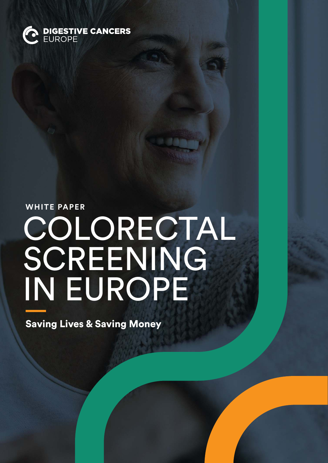

# **WHITE PAPER** COLORECTAL SCREENING IN EUROPE

Saving Lives & Saving Money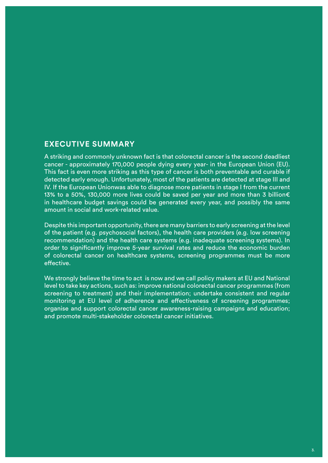### **EXECUTIVE SUMMARY**

A striking and commonly unknown fact is that colorectal cancer is the second deadliest cancer - approximately 170,000 people dying every year- in the European Union (EU). This fact is even more striking as this type of cancer is both preventable and curable if detected early enough. Unfortunately, most of the patients are detected at stage III and IV. If the European Unionwas able to diagnose more patients in stage I from the current 13% to a 50%, 130,000 more lives could be saved per year and more than 3 billion€ in healthcare budget savings could be generated every year, and possibly the same amount in social and work-related value.

Despite this important opportunity, there are many barriers to early screening at the level of the patient (e.g. psychosocial factors), the health care providers (e.g. low screening recommendation) and the health care systems (e.g. inadequate screening systems). In order to significantly improve 5-year survival rates and reduce the economic burden of colorectal cancer on healthcare systems, screening programmes must be more effective.

We strongly believe the time to act is now and we call policy makers at EU and National level to take key actions, such as: improve national colorectal cancer programmes (from screening to treatment) and their implementation; undertake consistent and regular monitoring at EU level of adherence and effectiveness of screening programmes; organise and support colorectal cancer awareness-raising campaigns and education; and promote multi-stakeholder colorectal cancer initiatives.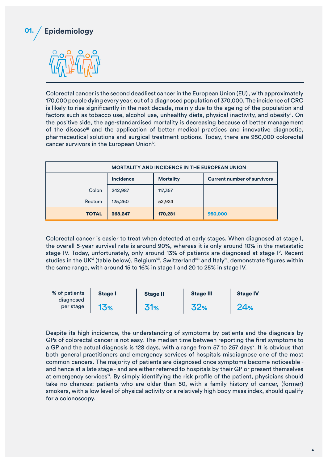

Colorectal cancer is the second deadliest cancer in the European Union (EU)<sup>;</sup>, with approximately 170,000 people dying every year, out of a diagnosed population of 370,000. The incidence of CRC is likely to rise significantly in the next decade, mainly due to the ageing of the population and factors such as tobacco use, alcohol use, unhealthy diets, physical inactivity, and obesity<sup>ii</sup>. On the positive side, the age-standardised mortality is decreasing because of better management of the diseaseiii and the application of better medical practices and innovative diagnostic, pharmaceutical solutions and surgical treatment options. Today, there are 950,000 colorectal cancer survivors in the European Union<sup>iv</sup>.

| <b>MORTALITY AND INCIDENCE IN THE EUROPEAN UNION</b> |                  |                  |                                    |  |  |  |
|------------------------------------------------------|------------------|------------------|------------------------------------|--|--|--|
|                                                      | <b>Incidence</b> | <b>Mortality</b> | <b>Current number of survivors</b> |  |  |  |
| Colon                                                | 242,987          | 117,357          |                                    |  |  |  |
| Rectum                                               | 125,260          | 52,924           |                                    |  |  |  |
| <b>TOTAL</b>                                         | 368,247          | 170,281          | 950,000                            |  |  |  |

Colorectal cancer is easier to treat when detected at early stages. When diagnosed at stage I, the overall 5-year survival rate is around 90%, whereas it is only around 10% in the metastatic stage IV. Today, unfortunately, only around 13% of patients are diagnosed at stage I<sup>v</sup>. Recent studies in the UK<sup>vi</sup> (table below), Belgium<sup>vii</sup>, Switzerland<sup>viii</sup> and Italy<sup>ix</sup>, demonstrate figures within the same range, with around 15 to 16% in stage I and 20 to 25% in stage IV.

| % of patients<br>diagnosed<br>per stage | <b>Stage I</b>  | <b>Stage II</b> | <b>Stage III</b> | <b>Stage IV</b> |
|-----------------------------------------|-----------------|-----------------|------------------|-----------------|
|                                         | 13 <sub>%</sub> | <b>31%</b>      | 32%              | 24%             |

Despite its high incidence, the understanding of symptoms by patients and the diagnosis by GPs of colorectal cancer is not easy. The median time between reporting the first symptoms to a GP and the actual diagnosis is 128 days, with a range from 57 to 257 days<sup>x</sup>. It is obvious that both general practitioners and emergency services of hospitals misdiagnose one of the most common cancers. The majority of patients are diagnosed once symptoms become noticeable and hence at a late stage - and are either referred to hospitals by their GP or present themselves at emergency services<sup>xi</sup>. By simply identifying the risk profile of the patient, physicians should take no chances: patients who are older than 50, with a family history of cancer, (former) smokers, with a low level of physical activity or a relatively high body mass index, should qualify for a colonoscopy.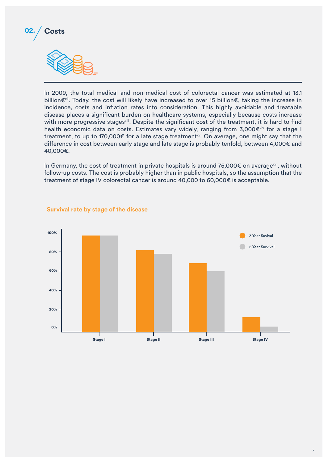

In 2009, the total medical and non-medical cost of colorectal cancer was estimated at 13.1 billion€xii. Today, the cost will likely have increased to over 15 billion€, taking the increase in incidence, costs and inflation rates into consideration. This highly avoidable and treatable disease places a significant burden on healthcare systems, especially because costs increase with more progressive stages<sup>xiii</sup>. Despite the significant cost of the treatment, it is hard to find health economic data on costs. Estimates vary widely, ranging from 3,000 $\epsilon^{xiv}$  for a stage I treatment, to up to 170,000€ for a late stage treatment<sup>xy</sup>. On average, one might say that the difference in cost between early stage and late stage is probably tenfold, between 4,000€ and 40,000€.

In Germany, the cost of treatment in private hospitals is around 75,000€ on average<sup>xvi</sup>, without follow-up costs. The cost is probably higher than in public hospitals, so the assumption that the treatment of stage IV colorectal cancer is around 40,000 to 60,000€ is acceptable.



#### **Survival rate by stage of the disease**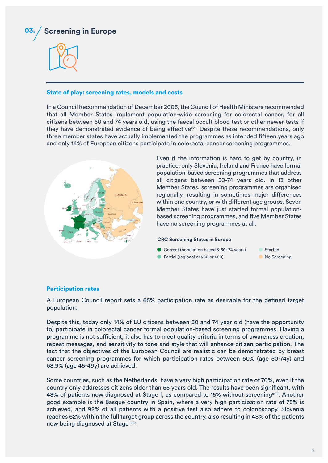



#### State of play: screening rates, models and costs

In a Council Recommendation of December 2003, the Council of Health Ministers recommended that all Member States implement population-wide screening for colorectal cancer, for all citizens between 50 and 74 years old, using the faecal occult blood test or other newer tests if they have demonstrated evidence of being effective<sup>xvii.</sup> Despite these recommendations, only three member states have actually implemented the programmes as intended fifteen years ago and only 14% of European citizens participate in colorectal cancer screening programmes.



Even if the information is hard to get by country, in practice, only Slovenia, Ireland and France have formal population-based screening programmes that address all citizens between 50-74 years old. In 13 other Member States, screening programmes are organised regionally, resulting in sometimes major differences within one country, or with different age groups. Seven Member States have just started formal populationbased screening programmes, and five Member States have no screening programmes at all.

#### **CRC Screening Status in Europe**

- Correct (population based & 50-74 years)
- Partial (regional or >50 or >60)



#### Participation rates

A European Council report sets a 65% participation rate as desirable for the defined target population.

Despite this, today only 14% of EU citizens between 50 and 74 year old (have the opportunity to) participate in colorectal cancer formal population-based screening programmes. Having a programme is not sufficient, it also has to meet quality criteria in terms of awareness creation, repeat messages, and sensitivity to tone and style that will enhance citizen participation. The fact that the objectives of the European Council are realistic can be demonstrated by breast cancer screening programmes for which participation rates between 60% (age 50-74y) and 68.9% (age 45-49y) are achieved.

Some countries, such as the Netherlands, have a very high participation rate of 70%, even if the country only addresses citizens older than 55 years old. The results have been significant, with 48% of patients now diagnosed at Stage I, as compared to 15% without screening<sup>xviii</sup>. Another good example is the Basque country in Spain, where a very high participation rate of 75% is achieved, and 92% of all patients with a positive test also adhere to colonoscopy. Slovenia reaches 62% within the full target group across the country, also resulting in 48% of the patients now being diagnosed at Stage Ixix.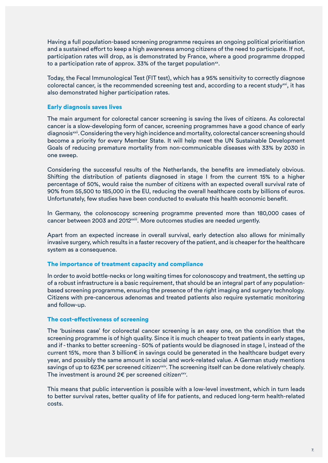Having a full population-based screening programme requires an ongoing political prioritisation and a sustained effort to keep a high awareness among citizens of the need to participate. If not, participation rates will drop, as is demonstrated by France, where a good programme dropped to a participation rate of approx. 33% of the target population $\mathrm{^{xx}}\mathrm{.}$ 

Today, the Fecal Immunological Test (FIT test), which has a 95% sensitivity to correctly diagnose colorectal cancer, is the recommended screening test and, according to a recent study $x^{x}$ , it has also demonstrated higher participation rates.

#### Early diagnosis saves lives

The main argument for colorectal cancer screening is saving the lives of citizens. As colorectal cancer is a slow-developing form of cancer, screening programmes have a good chance of early diagnosis<sup>xxii</sup>. Considering the very high incidence and mortality, colorectal cancer screening should become a priority for every Member State. It will help meet the UN Sustainable Development Goals of reducing premature mortality from non-communicable diseases with 33% by 2030 in one sweep.

Considering the successful results of the Netherlands, the benefits are immediately obvious. Shifting the distribution of patients diagnosed in stage I from the current 15% to a higher percentage of 50%, would raise the number of citizens with an expected overall survival rate of 90% from 55,500 to 185,000 in the EU, reducing the overall healthcare costs by billions of euros. Unfortunately, few studies have been conducted to evaluate this health economic benefit.

In Germany, the colonoscopy screening programme prevented more than 180,000 cases of cancer between 2003 and 2012<sup>xxiii</sup>. More outcomes studies are needed urgently.

Apart from an expected increase in overall survival, early detection also allows for minimally invasive surgery, which results in a faster recovery of the patient, and is cheaper for the healthcare system as a consequence.

#### The importance of treatment capacity and compliance

In order to avoid bottle-necks or long waiting times for colonoscopy and treatment, the setting up of a robust infrastructure is a basic requirement, that should be an integral part of any populationbased screening programme, ensuring the presence of the right imaging and surgery technology. Citizens with pre-cancerous adenomas and treated patients also require systematic monitoring and follow-up.

#### The cost-effectiveness of screening

The 'business case' for colorectal cancer screening is an easy one, on the condition that the screening programme is of high quality. Since it is much cheaper to treat patients in early stages, and if - thanks to better screening - 50% of patients would be diagnosed in stage I, instead of the current 15%, more than 3 billion€ in savings could be generated in the healthcare budget every year, and possibly the same amount in social and work-related value. A German study mentions savings of up to 623€ per screened citizen<sup>xxiv</sup>. The screening itself can be done relatively cheaply. The investment is around 2 $\bm{\epsilon}$  per screened citizen $\stackrel{\mathsf{x}\mathsf{v}}{\mathsf{v}}$ .

This means that public intervention is possible with a low-level investment, which in turn leads to better survival rates, better quality of life for patients, and reduced long-term health-related costs.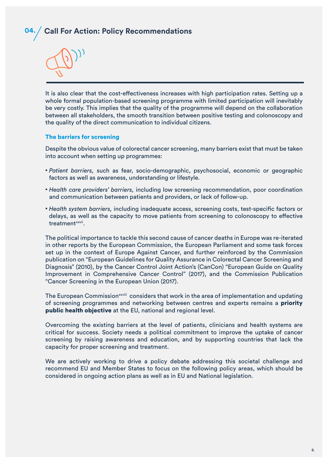## **04. Call For Action: Policy Recommendations**



It is also clear that the cost-effectiveness increases with high participation rates. Setting up a whole formal population-based screening programme with limited participation will inevitably be very costly. This implies that the quality of the programme will depend on the collaboration between all stakeholders, the smooth transition between positive testing and colonoscopy and the quality of the direct communication to individual citizens.

#### The barriers for screening

Despite the obvious value of colorectal cancer screening, many barriers exist that must be taken into account when setting up programmes:

- *Patient barriers,* such as fear, socio-demographic, psychosocial, economic or geographic factors as well as awareness, understanding or lifestyle.
- • *Health care providers' barriers,* including low screening recommendation, poor coordination and communication between patients and providers, or lack of follow-up.
- *Health system barriers,* including inadequate access, screening costs, test-specific factors or delays, as well as the capacity to move patients from screening to colonoscopy to effective treatment<sup>xxvii</sup>.

The political importance to tackle this second cause of cancer deaths in Europe was re-iterated in other reports by the European Commission, the European Parliament and some task forces set up in the context of Europe Against Cancer, and further reinforced by the Commission publication on "European Guidelines for Quality Assurance in Colorectal Cancer Screening and Diagnosis" (2010), by the Cancer Control Joint Action's (CanCon) "European Guide on Quality Improvement in Comprehensive Cancer Control" (2017), and the Commission Publication "Cancer Screening in the European Union (2017).

The European Commission<sup>xxviii</sup> considers that work in the area of implementation and updating of screening programmes and networking between centres and experts remains a priority public health objective at the EU, national and regional level.

Overcoming the existing barriers at the level of patients, clinicians and health systems are critical for success. Society needs a political commitment to improve the uptake of cancer screening by raising awareness and education, and by supporting countries that lack the capacity for proper screening and treatment.

We are actively working to drive a policy debate addressing this societal challenge and recommend EU and Member States to focus on the following policy areas, which should be considered in ongoing action plans as well as in EU and National legislation.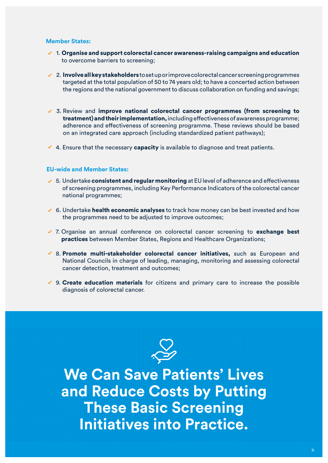#### **Member States:**

- 1.Organise and support colorectal cancer awareness-raising campaigns and education to overcome barriers to screening;
- $\vee$  2. Involve all key stakeholders to set up or improve colorectal cancer screening programmes targeted at the total population of 50 to 74 years old; to have a concerted action between the regions and the national government to discuss collaboration on funding and savings;
- 3. Review and improve national colorectal cancer programmes (from screening to treatment) and their implementation, including effectiveness of awareness programme; adherence and effectiveness of screening programme. These reviews should be based on an integrated care approach (including standardized patient pathways);
- 4. Ensure that the necessary **capacity** is available to diagnose and treat patients.

#### **EU-wide and Member States:**

- $\checkmark$  5. Undertake consistent and regular monitoring at EU level of adherence and effectiveness of screening programmes, including Key Performance Indicators of the colorectal cancer national programmes;
- 6. Undertake **health economic analyses** to track how money can be best invested and how the programmes need to be adjusted to improve outcomes;
- $\checkmark$  7. Organise an annual conference on colorectal cancer screening to exchange best practices between Member States, Regions and Healthcare Organizations;
- $\checkmark$  8. Promote multi-stakeholder colorectal cancer initiatives, such as European and National Councils in charge of leading, managing, monitoring and assessing colorectal cancer detection, treatment and outcomes;
- $\vee$  9. Create education materials for citizens and primary care to increase the possible diagnosis of colorectal cancer.



**We Can Save Patients' Lives and Reduce Costs by Putting These Basic Screening Initiatives into Practice.**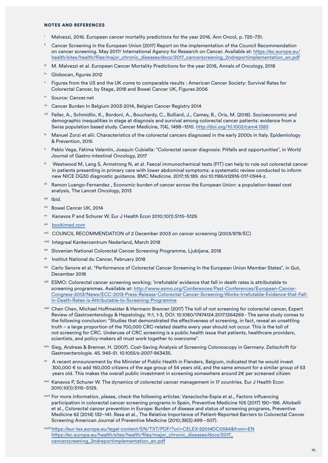#### NOTES AND REFERENCES

- <sup>i</sup>Malvezzi, 2016. European cancer mortality predictions for the year 2016. Ann Oncol, p. 725−731.
- Cancer Screening in the European Union (2017) Report on the implementation of the Council Recommendation on cancer screening. May 2017/ International Agency for Research on Cancer. Available at: [https://ec.europa.eu/](https://ec.europa.eu/health/sites/health/files/major_chronic_diseases/docs/2017_cancerscreening_2ndr) [health/sites/health/files/major\\_chronic\\_diseases/docs/2017\\_cancerscreening\\_2ndreportimplementation\\_en.pdf](https://ec.europa.eu/health/sites/health/files/major_chronic_diseases/docs/2017_cancerscreening_2ndr)
- iii M. Malvezzi et al. European Cancer Mortality Predictions for the year 2018, Annals of Oncology, 2018
- iv Globocan, figures 2012
- Figures from the US and the UK come to comparable results : American Cancer Society: Survival Rates for Colorectal Cancer, by Stage, 2018 and Bowel Cancer UK, Figures 2006
- Source: Cancer.net
- vii Cancer Burden In Belgium 2003-2014, Belgian Cancer Registry 2014
- viii Feller, A., Schmidlin, K., Bordoni, A., Bouchardy, C., Bulliard, J., Camey, B., Oris, M. (2018). Socioeconomic and demographic inequalities in stage at diagnosis and survival among colorectal cancer patients: evidence from a Swiss population based study. Cancer Medicine, 7(4), 1498–1510.<http://doi.org/10.1002/cam4.1385>
- ix Manuel Zorzi et alii: Characteristics of the colorectal cancers diagnosed in the early 2000s in Italy. Epidemiology & Prevention, 2015
- Pablo Vega, Fátima Valentín, Joaquín Cubiella: "Colorectal cancer diagnosis: Pitfalls and opportunities", in World Journal of Gastro-intestinal Oncology, 2017
- xi Westwood M, Lang S, Armstrong N, et al. Faecal immunochemical tests (FIT) can help to rule out colorectal cancer in patients presenting in primary care with lower abdominal symptoms: a systematic review conducted to inform new NICE DG30 diagnostic guidance. BMC Medicine. 2017;15:189. doi:10.1186/s12916-017-0944-z.
- xii Ramon Luengo-Fernandez , Economic burden of cancer across the European Union: a population-based cost analysis, The Lancet Oncology, 2013
- xiii Ibid.
- xiv Bowel Cancer UK, 2014
- Kanavos P and Schurer W. Eur J Health Econ 2010;10(1):S115-S129.
- xvi [bookimed.com](http://bookimed.com)
- xvii COUNCIL RECOMMENDATION of 2 December 2003 on cancer screening (2003/878/EC)
- xviii Integraal Kankercentrum Nederland, March 2018
- xix Slovenian National Colorectal Cancer Screening Programme, Ljubljana, 2018
- xx Institut National du Cancer, February 2018
- xxi Carlo Senore et al. "Performance of Colorectal Cancer Screening In the European Union Member States", in Gut, December 2018
- xxii ESMO: Colorectal cancer screening working; 'irrefutable' evidence that fall in death rates is attributable to screening programmes. Available at: [http://www.esmo.org/Conferences/Past-Conferences/European-Cancer-](http://www.esmo.org/Conferences/Past-Conferences/European-Cancer-Congress-2013/News/ECC-2013-Press-R)[Congress-2013/News/ECC-2013-Press-Release-Colorectal-Cancer-Screening-Works-Irrefutable-Evidence-that-Fall](http://www.esmo.org/Conferences/Past-Conferences/European-Cancer-Congress-2013/News/ECC-2013-Press-R)[in-Death-Rates-is-Attributable-to-Screening-Programme](http://www.esmo.org/Conferences/Past-Conferences/European-Cancer-Congress-2013/News/ECC-2013-Press-R)
- xxiii Chen Chen, Michael Hoffmeister & Hermann Brenner (2017) The toll of not screening for colorectal cancer, Expert Review of Gastroenterology & Hepatology, 11:1, 1-3, DOI: 10.1080/17474124.2017.1264269 - The same study comes to the following conclusion: "Studies that demonstrated the effectiveness of screening, in fact, reveal an unsettling truth – a large proportion of the 700,000 CRC-related deaths every year should not occur. This is the toll of not screening for CRC. Underuse of CRC screening is a public health issue that patients, healthcare providers, scientists, and policy-makers all must work together to overcome".
- xxiv Sieg, Andreas & Brenner, H. (2007). Cost-Saving Analysis of Screening Colonoscopy in Germany. Zeitschrift für Gastroenterologie. 45. 945-51. 10.1055/s-2007-963435.
- A recent announcement by the Minister of Public Health in Flanders, Belgium, indicated that he would invest 300,000 € to add 160,000 citizens of the age group of 54 years old, and the same amount for a similar group of 53 years old. This makes the overall public investment in screening somewhere around 2€ per screened citizen
- xxvi Kanavos P, Schurer W. The dynamics of colorectal cancer management in 17 countries. Eur J Health Econ 2010;10(1):S115−S129.
- xxvii For more information, please, check the following articles: Vanaclocha-Espia et al., Factors influencing participation in colorectal cancer screening programs in Spain, Preventive Medicine 105 (2017) 190–196. Altobelli et al., Colorectal cancer prevention in Europe: Burden of disease and status of screening programs, Preventive Medicine 62 (2014) 132–141. Resa et al., The Relative Importance of Patient-Reported Barriers to Colorectal Cancer Screening American Journal of Preventive Medicine (2010;38(5):499 –507).

xxviii [https://eur-lex.europa.eu/legal-content/EN/TXT/PDF/?uri=CELEX:52014DC0584&from=EN](https://eur-lex.europa.eu/legal-content/EN/TXT/PDF/?uri=CELEX:52014DC0584&from=EN https://ec.europa.)  [https://ec.europa.eu/health/sites/health/files/major\\_chronic\\_diseases/docs/2017\\_](https://eur-lex.europa.eu/legal-content/EN/TXT/PDF/?uri=CELEX:52014DC0584&from=EN https://ec.europa.) [cancerscreening\\_2ndreportimplementation\\_en.pdf](https://eur-lex.europa.eu/legal-content/EN/TXT/PDF/?uri=CELEX:52014DC0584&from=EN https://ec.europa.)